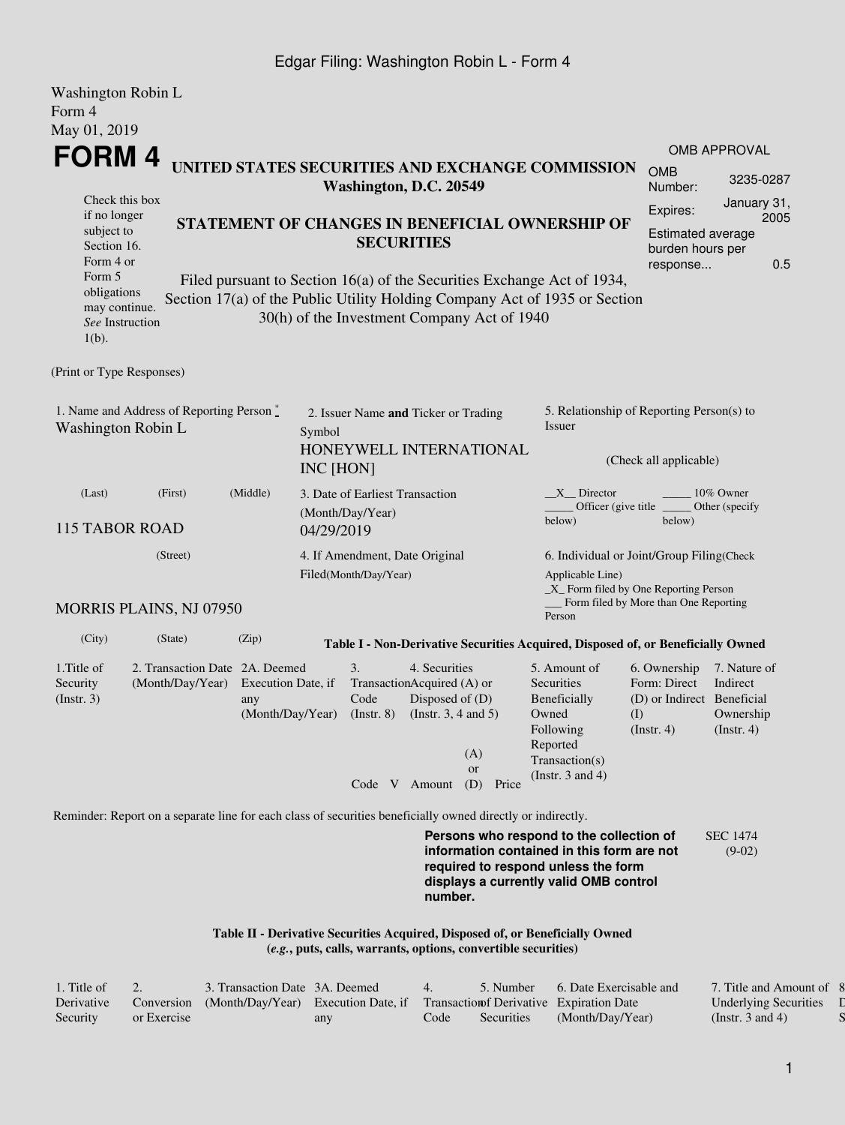## Edgar Filing: Washington Robin L - Form 4

| Washington Robin L<br>Form 4<br>May 01, 2019                                                                                                                                                                                                                                  |                                                    |                                                         |                                                                      |                                                             |                                                                                                                                                  |                                             |                                                                                                                                                                         |                                                                                       |                                                           |  |  |  |
|-------------------------------------------------------------------------------------------------------------------------------------------------------------------------------------------------------------------------------------------------------------------------------|----------------------------------------------------|---------------------------------------------------------|----------------------------------------------------------------------|-------------------------------------------------------------|--------------------------------------------------------------------------------------------------------------------------------------------------|---------------------------------------------|-------------------------------------------------------------------------------------------------------------------------------------------------------------------------|---------------------------------------------------------------------------------------|-----------------------------------------------------------|--|--|--|
| FORM 4                                                                                                                                                                                                                                                                        |                                                    |                                                         |                                                                      |                                                             |                                                                                                                                                  |                                             |                                                                                                                                                                         |                                                                                       | <b>OMB APPROVAL</b>                                       |  |  |  |
|                                                                                                                                                                                                                                                                               |                                                    |                                                         |                                                                      | Washington, D.C. 20549                                      |                                                                                                                                                  |                                             | UNITED STATES SECURITIES AND EXCHANGE COMMISSION                                                                                                                        | <b>OMB</b><br>Number:                                                                 | 3235-0287                                                 |  |  |  |
| Check this box<br>if no longer<br>subject to<br>Section 16.<br>Form 4 or                                                                                                                                                                                                      |                                                    | STATEMENT OF CHANGES IN BENEFICIAL OWNERSHIP OF         | Expires:<br><b>Estimated average</b><br>burden hours per<br>response | January 31,<br>2005<br>0.5                                  |                                                                                                                                                  |                                             |                                                                                                                                                                         |                                                                                       |                                                           |  |  |  |
| Form 5<br>Filed pursuant to Section 16(a) of the Securities Exchange Act of 1934,<br>obligations<br>Section 17(a) of the Public Utility Holding Company Act of 1935 or Section<br>may continue.<br>30(h) of the Investment Company Act of 1940<br>See Instruction<br>$1(b)$ . |                                                    |                                                         |                                                                      |                                                             |                                                                                                                                                  |                                             |                                                                                                                                                                         |                                                                                       |                                                           |  |  |  |
| (Print or Type Responses)                                                                                                                                                                                                                                                     |                                                    |                                                         |                                                                      |                                                             |                                                                                                                                                  |                                             |                                                                                                                                                                         |                                                                                       |                                                           |  |  |  |
| 1. Name and Address of Reporting Person*<br>Washington Robin L                                                                                                                                                                                                                | Symbol<br>INC [HON]                                | 2. Issuer Name and Ticker or Trading                    |                                                                      | HONEYWELL INTERNATIONAL                                     | 5. Relationship of Reporting Person(s) to<br><i>Issuer</i><br>(Check all applicable)                                                             |                                             |                                                                                                                                                                         |                                                                                       |                                                           |  |  |  |
| (Last)<br>(First)<br>115 TABOR ROAD                                                                                                                                                                                                                                           | 04/29/2019                                         | 3. Date of Earliest Transaction<br>(Month/Day/Year)     |                                                                      |                                                             | X Director<br>10% Owner<br>Officer (give title<br>Other (specify<br>below)<br>below)                                                             |                                             |                                                                                                                                                                         |                                                                                       |                                                           |  |  |  |
| (Street)<br><b>MORRIS PLAINS, NJ 07950</b>                                                                                                                                                                                                                                    |                                                    | 4. If Amendment, Date Original<br>Filed(Month/Day/Year) |                                                                      |                                                             | 6. Individual or Joint/Group Filing(Check<br>Applicable Line)<br>_X_ Form filed by One Reporting Person<br>Form filed by More than One Reporting |                                             |                                                                                                                                                                         |                                                                                       |                                                           |  |  |  |
| (City)                                                                                                                                                                                                                                                                        | (State)                                            | (Zip)                                                   |                                                                      |                                                             |                                                                                                                                                  |                                             | Person<br>Table I - Non-Derivative Securities Acquired, Disposed of, or Beneficially Owned                                                                              |                                                                                       |                                                           |  |  |  |
| 1. Title of<br>Security<br>(Insert. 3)                                                                                                                                                                                                                                        | 2. Transaction Date 2A. Deemed<br>(Month/Day/Year) | Execution Date, if<br>any<br>(Month/Day/Year)           |                                                                      | 3.<br>TransactionAcquired (A) or<br>Code<br>$($ Instr. $8)$ | 4. Securities<br>Disposed of (D)<br>(Instr. $3, 4$ and $5$ )                                                                                     | (A)<br><b>or</b><br>Code V Amount (D) Price | 5. Amount of<br>Securities<br>Beneficially<br>Owned<br>Following<br>Reported<br>Transaction(s)<br>(Instr. $3$ and $4$ )                                                 | 6. Ownership<br>Form: Direct<br>(D) or Indirect Beneficial<br>(I)<br>$($ Instr. 4 $)$ | 7. Nature of<br>Indirect<br>Ownership<br>$($ Instr. 4 $)$ |  |  |  |
| Reminder: Report on a separate line for each class of securities beneficially owned directly or indirectly.                                                                                                                                                                   |                                                    |                                                         |                                                                      |                                                             | number.                                                                                                                                          |                                             | Persons who respond to the collection of<br>information contained in this form are not<br>required to respond unless the form<br>displays a currently valid OMB control |                                                                                       | <b>SEC 1474</b><br>$(9-02)$                               |  |  |  |

**Table II - Derivative Securities Acquired, Disposed of, or Beneficially Owned (***e.g.***, puts, calls, warrants, options, convertible securities)**

| . Title of |             | 3. Transaction Date 3A. Deemed      |     |      | 5. Number         | 6. Date Exercisable and                   | 7. Title and Amount of 8     |  |
|------------|-------------|-------------------------------------|-----|------|-------------------|-------------------------------------------|------------------------------|--|
| Derivative | Conversion  | (Month/Day/Year) Execution Date, if |     |      |                   | Transaction of Derivative Expiration Date | <b>Underlying Securities</b> |  |
| Security   | or Exercise |                                     | any | Code | <b>Securities</b> | (Month/Day/Year)                          | (Instr. 3 and 4)             |  |